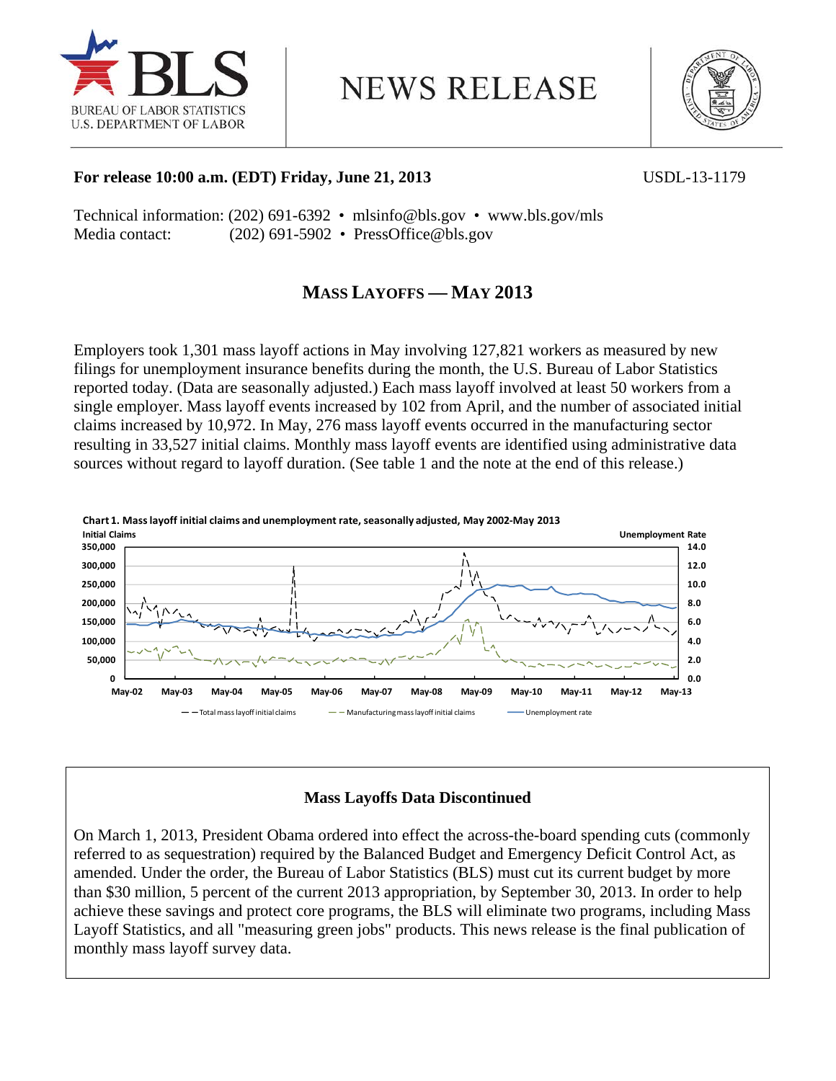

**NEWS RELEASE** 



### **For release 10:00 a.m. (EDT) Friday, June 21, 2013** USDL-13-1179

Technical information: (202) 691-6392 • mlsinfo@bls.gov • www.bls.gov/mls Media contact: (202) 691-5902 • PressOffice@bls.gov

# **MASS LAYOFFS — MAY 2013**

Employers took 1,301 mass layoff actions in May involving 127,821 workers as measured by new filings for unemployment insurance benefits during the month, the U.S. Bureau of Labor Statistics reported today. (Data are seasonally adjusted.) Each mass layoff involved at least 50 workers from a single employer. Mass layoff events increased by 102 from April, and the number of associated initial claims increased by 10,972. In May, 276 mass layoff events occurred in the manufacturing sector resulting in 33,527 initial claims. Monthly mass layoff events are identified using administrative data sources without regard to layoff duration. (See table 1 and the note at the end of this release.)



# **Mass Layoffs Data Discontinued**

On March 1, 2013, President Obama ordered into effect the across-the-board spending cuts (commonly referred to as sequestration) required by the Balanced Budget and Emergency Deficit Control Act, as amended. Under the order, the Bureau of Labor Statistics (BLS) must cut its current budget by more than \$30 million, 5 percent of the current 2013 appropriation, by September 30, 2013. In order to help achieve these savings and protect core programs, the BLS will eliminate two programs, including Mass Layoff Statistics, and all "measuring green jobs" products. This news release is the final publication of monthly mass layoff survey data.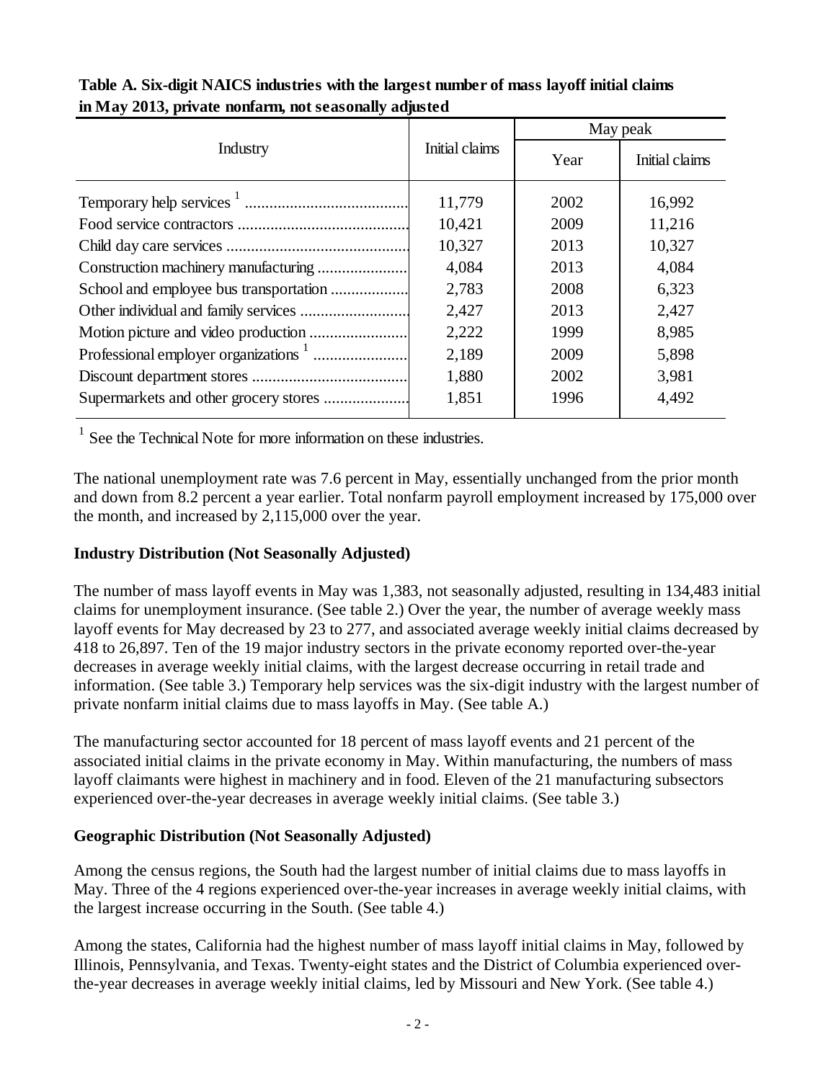|                                       |                | May peak |                |  |  |
|---------------------------------------|----------------|----------|----------------|--|--|
| Industry                              | Initial claims | Year     | Initial claims |  |  |
|                                       | 11,779         | 2002     | 16,992         |  |  |
|                                       | 10,421         | 2009     | 11,216         |  |  |
|                                       | 10,327         | 2013     | 10,327         |  |  |
|                                       | 4,084          | 2013     | 4,084          |  |  |
|                                       | 2,783          | 2008     | 6,323          |  |  |
|                                       | 2,427          | 2013     | 2,427          |  |  |
| Motion picture and video production   | 2,222          | 1999     | 8,985          |  |  |
|                                       | 2,189          | 2009     | 5,898          |  |  |
|                                       | 1,880          | 2002     | 3,981          |  |  |
| Supermarkets and other grocery stores | 1,851          | 1996     | 4,492          |  |  |

| Table A. Six-digit NAICS industries with the largest number of mass layoff initial claims |  |
|-------------------------------------------------------------------------------------------|--|
| in May 2013, private nonfarm, not seasonally adjusted                                     |  |

<sup>1</sup> See the Technical Note for more information on these industries.

The national unemployment rate was 7.6 percent in May, essentially unchanged from the prior month and down from 8.2 percent a year earlier. Total nonfarm payroll employment increased by 175,000 over the month, and increased by 2,115,000 over the year.

# **Industry Distribution (Not Seasonally Adjusted)**

The number of mass layoff events in May was 1,383, not seasonally adjusted, resulting in 134,483 initial claims for unemployment insurance. (See table 2.) Over the year, the number of average weekly mass layoff events for May decreased by 23 to 277, and associated average weekly initial claims decreased by 418 to 26,897. Ten of the 19 major industry sectors in the private economy reported over-the-year decreases in average weekly initial claims, with the largest decrease occurring in retail trade and information. (See table 3.) Temporary help services was the six-digit industry with the largest number of private nonfarm initial claims due to mass layoffs in May. (See table A.)

The manufacturing sector accounted for 18 percent of mass layoff events and 21 percent of the associated initial claims in the private economy in May. Within manufacturing, the numbers of mass layoff claimants were highest in machinery and in food. Eleven of the 21 manufacturing subsectors experienced over-the-year decreases in average weekly initial claims. (See table 3.)

# **Geographic Distribution (Not Seasonally Adjusted)**

Among the census regions, the South had the largest number of initial claims due to mass layoffs in May. Three of the 4 regions experienced over-the-year increases in average weekly initial claims, with the largest increase occurring in the South. (See table 4.)

Among the states, California had the highest number of mass layoff initial claims in May, followed by Illinois, Pennsylvania, and Texas. Twenty-eight states and the District of Columbia experienced overthe-year decreases in average weekly initial claims, led by Missouri and New York. (See table 4.)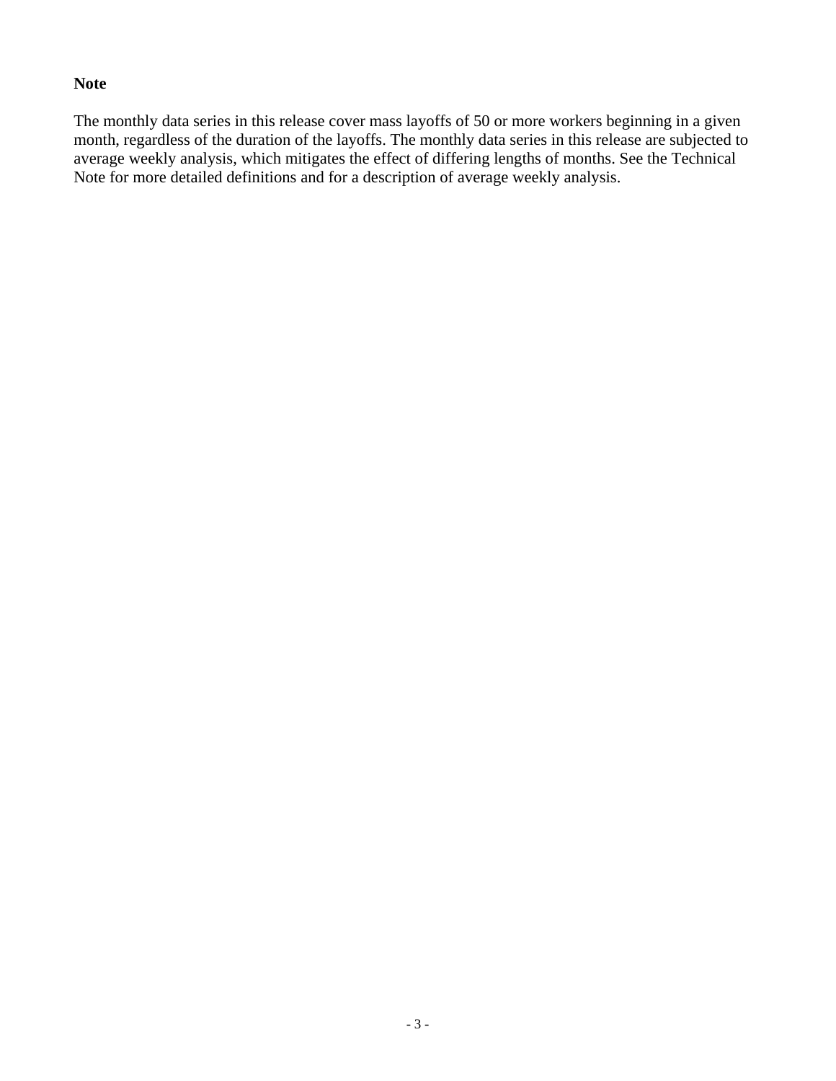### **Note**

The monthly data series in this release cover mass layoffs of 50 or more workers beginning in a given month, regardless of the duration of the layoffs. The monthly data series in this release are subjected to average weekly analysis, which mitigates the effect of differing lengths of months. See the Technical Note for more detailed definitions and for a description of average weekly analysis.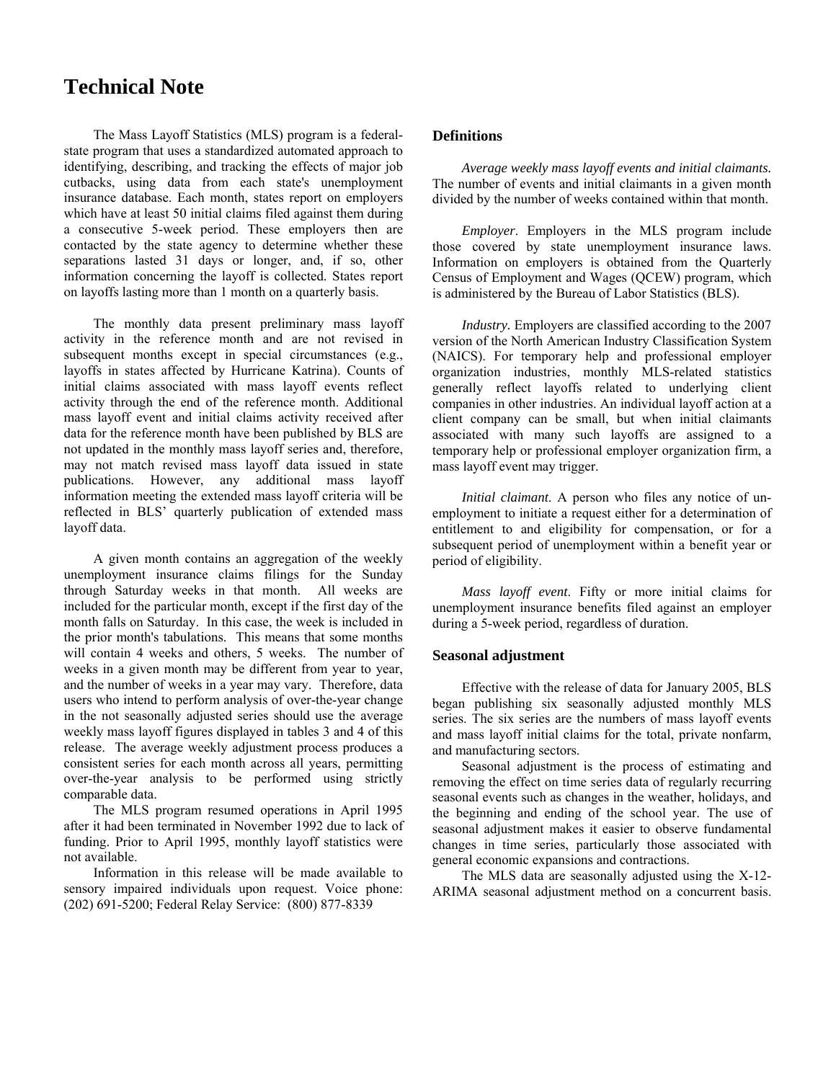# **Technical Note**

The Mass Layoff Statistics (MLS) program is a federalstate program that uses a standardized automated approach to identifying, describing, and tracking the effects of major job cutbacks, using data from each state's unemployment insurance database. Each month, states report on employers which have at least 50 initial claims filed against them during a consecutive 5-week period. These employers then are contacted by the state agency to determine whether these separations lasted 31 days or longer, and, if so, other information concerning the layoff is collected. States report on layoffs lasting more than 1 month on a quarterly basis.

The monthly data present preliminary mass layoff activity in the reference month and are not revised in subsequent months except in special circumstances (e.g., layoffs in states affected by Hurricane Katrina). Counts of initial claims associated with mass layoff events reflect activity through the end of the reference month. Additional mass layoff event and initial claims activity received after data for the reference month have been published by BLS are not updated in the monthly mass layoff series and, therefore, may not match revised mass layoff data issued in state publications. However, any additional mass layoff information meeting the extended mass layoff criteria will be reflected in BLS' quarterly publication of extended mass layoff data.

A given month contains an aggregation of the weekly unemployment insurance claims filings for the Sunday through Saturday weeks in that month. All weeks are included for the particular month, except if the first day of the month falls on Saturday. In this case, the week is included in the prior month's tabulations. This means that some months will contain 4 weeks and others, 5 weeks. The number of weeks in a given month may be different from year to year, and the number of weeks in a year may vary. Therefore, data users who intend to perform analysis of over-the-year change in the not seasonally adjusted series should use the average weekly mass layoff figures displayed in tables 3 and 4 of this release. The average weekly adjustment process produces a consistent series for each month across all years, permitting over-the-year analysis to be performed using strictly comparable data.

The MLS program resumed operations in April 1995 after it had been terminated in November 1992 due to lack of funding. Prior to April 1995, monthly layoff statistics were not available.

Information in this release will be made available to sensory impaired individuals upon request. Voice phone: (202) 691-5200; Federal Relay Service: (800) 877-8339

### **Definitions**

*Average weekly mass layoff events and initial claimants.*  The number of events and initial claimants in a given month divided by the number of weeks contained within that month.

*Employer*. Employers in the MLS program include those covered by state unemployment insurance laws. Information on employers is obtained from the Quarterly Census of Employment and Wages (QCEW) program, which is administered by the Bureau of Labor Statistics (BLS).

*Industry.* Employers are classified according to the 2007 version of the North American Industry Classification System (NAICS). For temporary help and professional employer organization industries, monthly MLS-related statistics generally reflect layoffs related to underlying client companies in other industries. An individual layoff action at a client company can be small, but when initial claimants associated with many such layoffs are assigned to a temporary help or professional employer organization firm, a mass layoff event may trigger.

*Initial claimant*. A person who files any notice of unemployment to initiate a request either for a determination of entitlement to and eligibility for compensation, or for a subsequent period of unemployment within a benefit year or period of eligibility.

*Mass layoff event*. Fifty or more initial claims for unemployment insurance benefits filed against an employer during a 5-week period, regardless of duration.

#### **Seasonal adjustment**

Effective with the release of data for January 2005, BLS began publishing six seasonally adjusted monthly MLS series. The six series are the numbers of mass layoff events and mass layoff initial claims for the total, private nonfarm, and manufacturing sectors.

Seasonal adjustment is the process of estimating and removing the effect on time series data of regularly recurring seasonal events such as changes in the weather, holidays, and the beginning and ending of the school year. The use of seasonal adjustment makes it easier to observe fundamental changes in time series, particularly those associated with general economic expansions and contractions.

The MLS data are seasonally adjusted using the X-12- ARIMA seasonal adjustment method on a concurrent basis.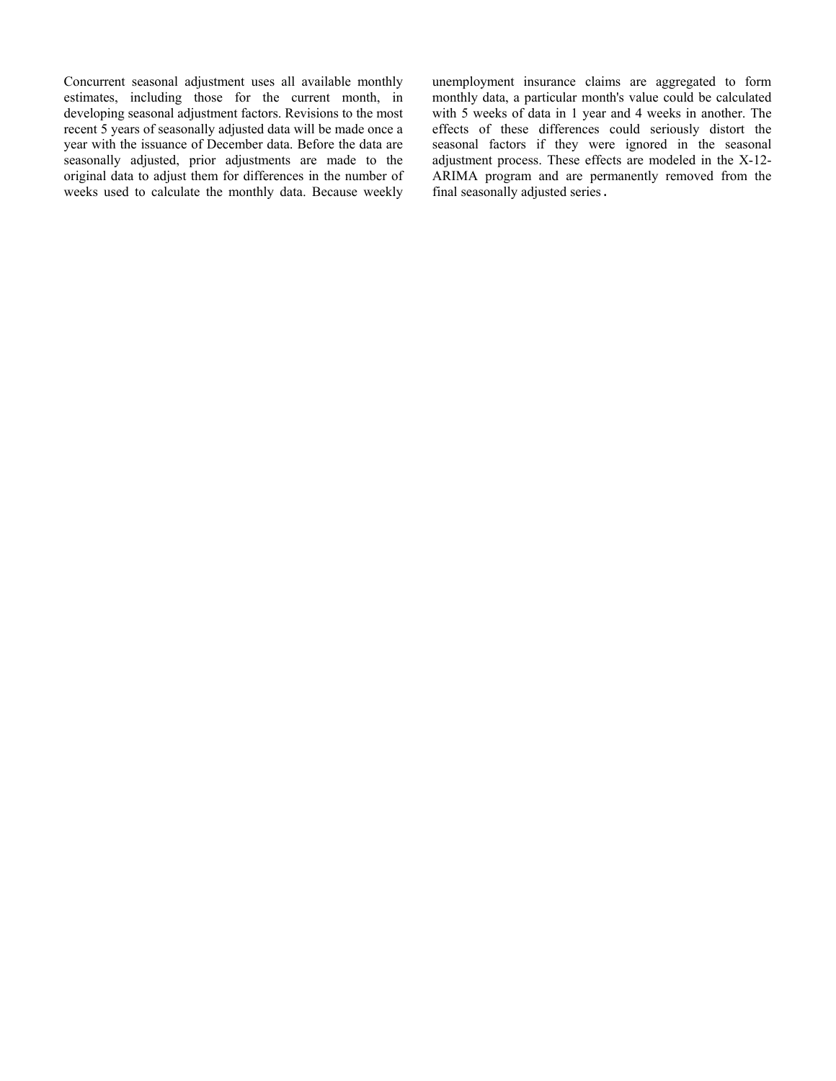Concurrent seasonal adjustment uses all available monthly estimates, including those for the current month, in developing seasonal adjustment factors. Revisions to the most recent 5 years of seasonally adjusted data will be made once a year with the issuance of December data. Before the data are seasonally adjusted, prior adjustments are made to the original data to adjust them for differences in the number of weeks used to calculate the monthly data. Because weekly unemployment insurance claims are aggregated to form monthly data, a particular month's value could be calculated with 5 weeks of data in 1 year and 4 weeks in another. The effects of these differences could seriously distort the seasonal factors if they were ignored in the seasonal adjustment process. These effects are modeled in the X-12- ARIMA program and are permanently removed from the final seasonally adjusted series.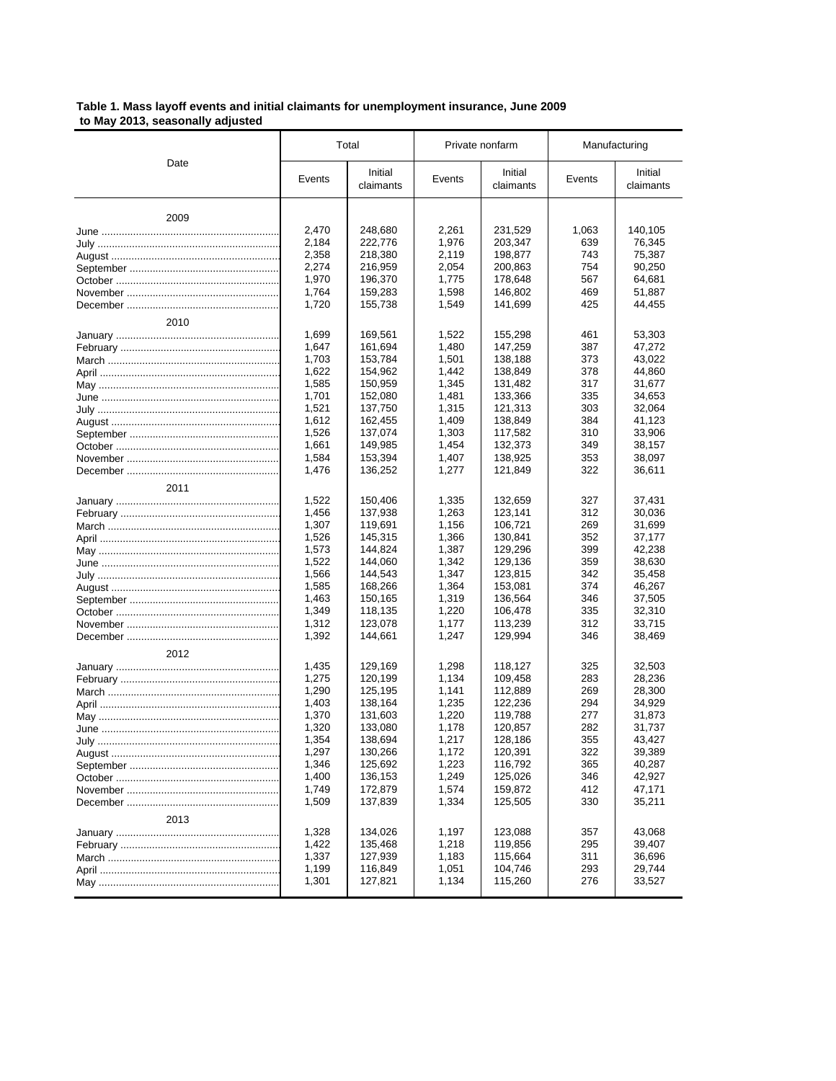**Table 1. Mass layoff events and initial claimants for unemployment insurance, June 2009 to May 2013, seasonally adjusted**

| งงนงงทนท |        |                      |        |                      |               |                      |  |
|----------|--------|----------------------|--------|----------------------|---------------|----------------------|--|
|          |        | Total                |        | Private nonfarm      | Manufacturing |                      |  |
| Date     | Events | Initial<br>claimants | Events | Initial<br>claimants | Events        | Initial<br>claimants |  |
| 2009     |        |                      |        |                      |               |                      |  |
|          | 2,470  | 248,680              | 2,261  | 231,529              | 1,063         | 140,105              |  |
|          | 2,184  | 222,776              | 1,976  | 203,347              | 639           | 76,345               |  |
|          | 2,358  | 218,380              | 2,119  | 198,877              | 743           | 75,387               |  |
|          | 2.274  | 216,959              | 2,054  | 200,863              | 754           | 90,250               |  |
|          | 1,970  | 196,370              | 1,775  | 178,648              | 567           | 64,681               |  |
|          | 1,764  | 159,283              | 1,598  | 146,802              | 469           | 51,887               |  |
|          | 1,720  | 155,738              | 1,549  | 141,699              | 425           | 44,455               |  |
| 2010     |        |                      |        |                      |               |                      |  |
|          | 1,699  | 169,561              | 1,522  | 155,298              | 461           | 53,303               |  |
|          | 1,647  | 161,694              | 1,480  | 147,259              | 387           | 47,272               |  |
|          | 1,703  | 153,784              | 1,501  | 138,188              | 373           | 43,022               |  |
|          | 1,622  | 154,962              | 1,442  | 138,849              | 378           | 44,860               |  |
|          | 1,585  | 150,959              | 1,345  | 131,482              | 317           | 31,677               |  |
|          | 1,701  | 152,080              | 1,481  | 133,366              | 335           | 34,653               |  |
|          | 1,521  | 137,750              | 1.315  | 121,313              | 303           | 32,064               |  |
|          | 1,612  | 162,455              | 1.409  | 138,849              | 384           | 41,123               |  |
|          | 1,526  | 137,074              | 1,303  | 117,582              | 310           | 33,906               |  |
|          | 1.661  | 149,985              | 1,454  | 132,373              | 349           | 38,157               |  |
|          | 1,584  | 153,394              | 1,407  | 138,925              | 353           | 38,097               |  |
|          | 1,476  | 136,252              | 1,277  | 121,849              | 322           | 36,611               |  |
| 2011     |        |                      |        |                      |               |                      |  |
|          | 1,522  | 150,406              | 1,335  | 132,659              | 327           | 37,431               |  |
|          | 1.456  | 137,938              | 1,263  | 123,141              | 312           | 30,036               |  |
|          | 1,307  | 119,691              | 1,156  | 106,721              | 269           | 31,699               |  |
|          | 1,526  | 145,315              | 1,366  | 130,841              | 352           | 37,177               |  |
|          | 1,573  | 144,824              | 1,387  | 129,296              | 399           | 42,238               |  |
|          | 1,522  | 144,060              | 1,342  | 129,136              | 359           | 38,630               |  |
|          | 1,566  | 144,543              | 1,347  | 123,815              | 342           | 35,458               |  |
|          | 1,585  | 168,266              | 1,364  | 153,081              | 374           | 46,267               |  |
|          | 1,463  | 150,165              | 1,319  | 136,564              | 346           | 37,505               |  |
|          | 1,349  | 118,135              | 1,220  | 106,478              | 335           | 32,310               |  |
|          | 1,312  | 123,078              | 1,177  | 113,239              | 312           | 33,715               |  |
|          | 1,392  | 144,661              | 1,247  | 129,994              | 346           | 38,469               |  |
| 2012     |        |                      |        |                      |               |                      |  |
|          | 1,435  | 129,169              | 1,298  | 118,127              | 325           | 32,503               |  |
|          | 1,275  | 120,199              | 1,134  | 109,458              | 283           | 28,236               |  |
|          | 1,290  | 125,195              | 1,141  | 112,889              | 269           | 28,300               |  |
|          | 1,403  | 138,164              | 1,235  | 122,236              | 294           | 34,929               |  |
|          | 1,370  | 131,603              | 1,220  | 119,788              | 277           | 31,873               |  |
|          | 1,320  | 133,080              | 1,178  | 120,857              | 282           | 31,737               |  |
|          | 1,354  | 138,694              | 1,217  | 128,186              | 355           | 43,427               |  |
|          | 1,297  | 130,266              | 1,172  | 120,391              | 322           | 39,389               |  |
|          | 1,346  | 125,692              | 1,223  | 116,792              | 365           | 40,287               |  |
|          | 1,400  | 136,153              | 1,249  | 125,026              | 346           | 42,927               |  |
|          | 1,749  | 172,879              | 1,574  | 159,872              | 412           | 47,171               |  |
|          | 1,509  | 137,839              | 1,334  | 125,505              | 330           | 35,211               |  |
| 2013     |        |                      |        |                      |               |                      |  |
|          | 1,328  | 134,026              | 1,197  | 123,088              | 357           | 43.068               |  |
|          | 1,422  | 135,468              | 1,218  | 119,856              | 295           | 39,407               |  |
|          | 1,337  | 127,939              | 1,183  | 115,664              | 311           | 36,696               |  |
|          | 1,199  | 116,849              | 1,051  | 104,746              | 293           | 29,744               |  |
|          | 1,301  | 127,821              | 1,134  | 115,260              | 276           | 33,527               |  |
|          |        |                      |        |                      |               |                      |  |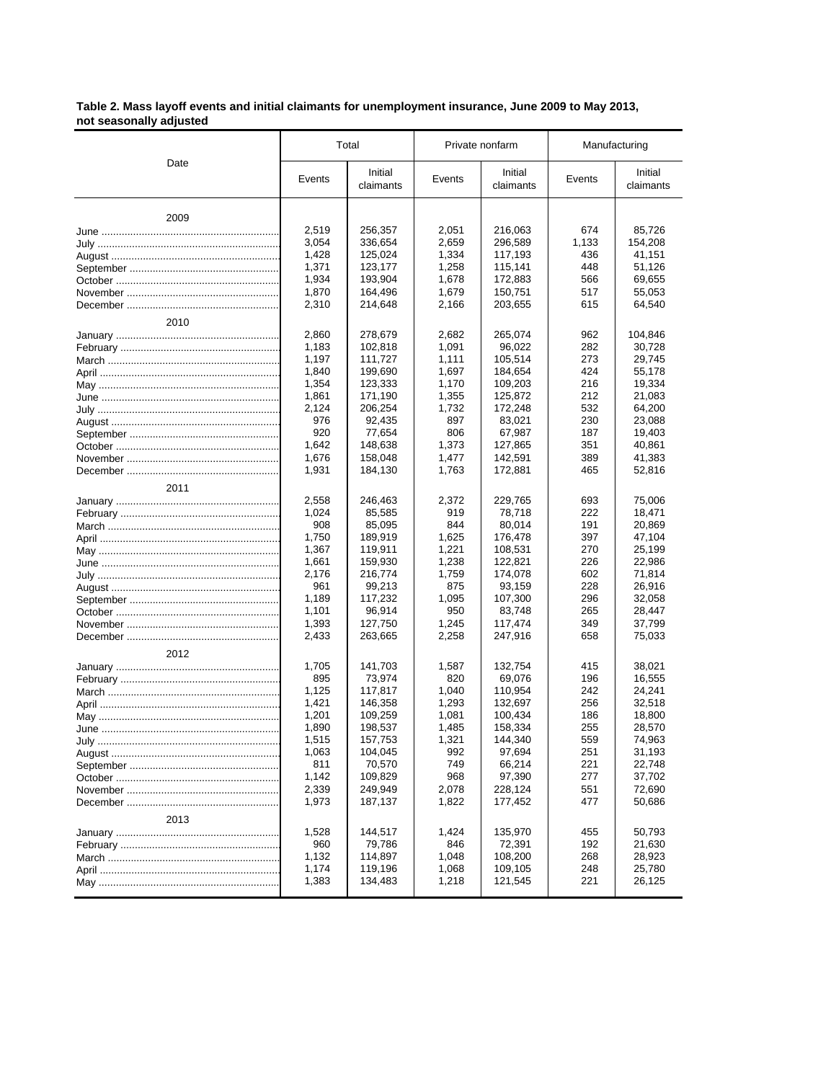**Table 2. Mass layoff events and initial claimants for unemployment insurance, June 2009 to May 2013, not seasonally adjusted**

|      |                | Total                |                | Private nonfarm      |            | Manufacturing        |  |
|------|----------------|----------------------|----------------|----------------------|------------|----------------------|--|
| Date | Events         | Initial<br>claimants | Events         | Initial<br>claimants | Events     | Initial<br>claimants |  |
| 2009 |                |                      |                |                      |            |                      |  |
|      | 2,519          | 256,357              | 2,051          | 216,063              | 674        | 85,726               |  |
|      | 3,054          | 336,654              | 2,659          | 296,589              | 1,133      | 154,208              |  |
|      | 1,428          | 125,024              | 1,334          | 117,193              | 436        | 41,151               |  |
|      | 1,371          | 123,177              | 1,258          | 115,141              | 448        | 51,126               |  |
|      | 1,934          | 193,904              | 1,678          | 172,883              | 566        | 69,655               |  |
|      | 1,870          | 164,496              | 1,679          | 150,751              | 517        | 55,053               |  |
|      | 2,310          | 214,648              | 2,166          | 203,655              | 615        | 64,540               |  |
| 2010 |                |                      |                |                      |            |                      |  |
|      | 2,860          | 278,679              | 2,682          | 265,074              | 962        | 104,846              |  |
|      | 1,183          | 102,818              | 1,091          | 96,022               | 282        | 30,728               |  |
|      | 1,197          | 111,727              | 1,111          | 105,514              | 273        | 29,745               |  |
|      | 1,840          | 199,690              | 1,697          | 184,654              | 424        | 55,178               |  |
|      | 1,354          | 123,333              | 1,170          | 109,203              | 216        | 19,334               |  |
|      | 1,861          | 171,190              | 1,355          | 125,872              | 212        | 21,083               |  |
|      | 2,124          | 206,254              | 1,732          | 172,248              | 532        | 64,200               |  |
|      | 976            | 92,435               | 897            | 83,021               | 230        | 23,088               |  |
|      | 920            | 77,654               | 806            | 67,987               | 187        | 19,403               |  |
|      | 1,642          | 148,638              | 1,373          | 127,865              | 351        | 40,861               |  |
|      | 1,676          | 158,048<br>184,130   | 1,477          | 142,591              | 389<br>465 | 41,383               |  |
|      | 1,931          |                      | 1,763          | 172,881              |            | 52,816               |  |
| 2011 |                |                      |                |                      |            |                      |  |
|      | 2,558          | 246,463              | 2,372          | 229,765              | 693        | 75,006               |  |
|      | 1,024          | 85,585               | 919            | 78,718               | 222        | 18,471               |  |
|      | 908            | 85,095               | 844            | 80,014<br>176,478    | 191        | 20,869               |  |
|      | 1,750<br>1,367 | 189,919<br>119,911   | 1,625<br>1,221 | 108,531              | 397<br>270 | 47,104<br>25,199     |  |
|      | 1,661          | 159,930              | 1,238          | 122,821              | 226        | 22,986               |  |
|      | 2,176          | 216,774              | 1,759          | 174,078              | 602        | 71,814               |  |
|      | 961            | 99,213               | 875            | 93,159               | 228        | 26,916               |  |
|      | 1,189          | 117,232              | 1,095          | 107,300              | 296        | 32,058               |  |
|      | 1,101          | 96,914               | 950            | 83,748               | 265        | 28,447               |  |
|      | 1,393          | 127,750              | 1,245          | 117,474              | 349        | 37,799               |  |
|      | 2,433          | 263,665              | 2,258          | 247,916              | 658        | 75,033               |  |
| 2012 |                |                      |                |                      |            |                      |  |
|      | 1,705          | 141,703              | 1,587          | 132.754              | 415        | 38,021               |  |
|      | 895            | 73,974               | 820            | 69,076               | 196        | 16,555               |  |
|      | 1,125          | 117,817              | 1,040          | 110,954              | 242        | 24,241               |  |
|      | 1,421          | 146,358              | 1,293          | 132,697              | 256        | 32,518               |  |
|      | 1,201          | 109,259              | 1,081          | 100,434              | 186        | 18,800               |  |
|      | 1,890          | 198,537              | 1,485          | 158,334              | 255        | 28,570               |  |
|      | 1,515<br>1,063 | 157,753<br>104,045   | 1,321          | 144,340<br>97,694    | 559<br>251 | 74,963<br>31,193     |  |
|      | 811            | 70,570               | 992<br>749     | 66,214               | 221        | 22,748               |  |
|      | 1,142          | 109,829              | 968            | 97,390               | 277        | 37,702               |  |
|      | 2,339          | 249,949              | 2,078          | 228,124              | 551        | 72,690               |  |
|      | 1,973          | 187,137              | 1,822          | 177,452              | 477        | 50,686               |  |
| 2013 |                |                      |                |                      |            |                      |  |
|      | 1,528          | 144,517              | 1,424          | 135,970              | 455        | 50,793               |  |
|      | 960            | 79,786               | 846            | 72,391               | 192        | 21,630               |  |
|      | 1,132          | 114,897              | 1,048          | 108,200              | 268        | 28,923               |  |
|      | 1,174          | 119,196              | 1,068          | 109,105              | 248        | 25,780               |  |
|      | 1,383          | 134,483              | 1,218          | 121,545              | 221        | 26,125               |  |
|      |                |                      |                |                      |            |                      |  |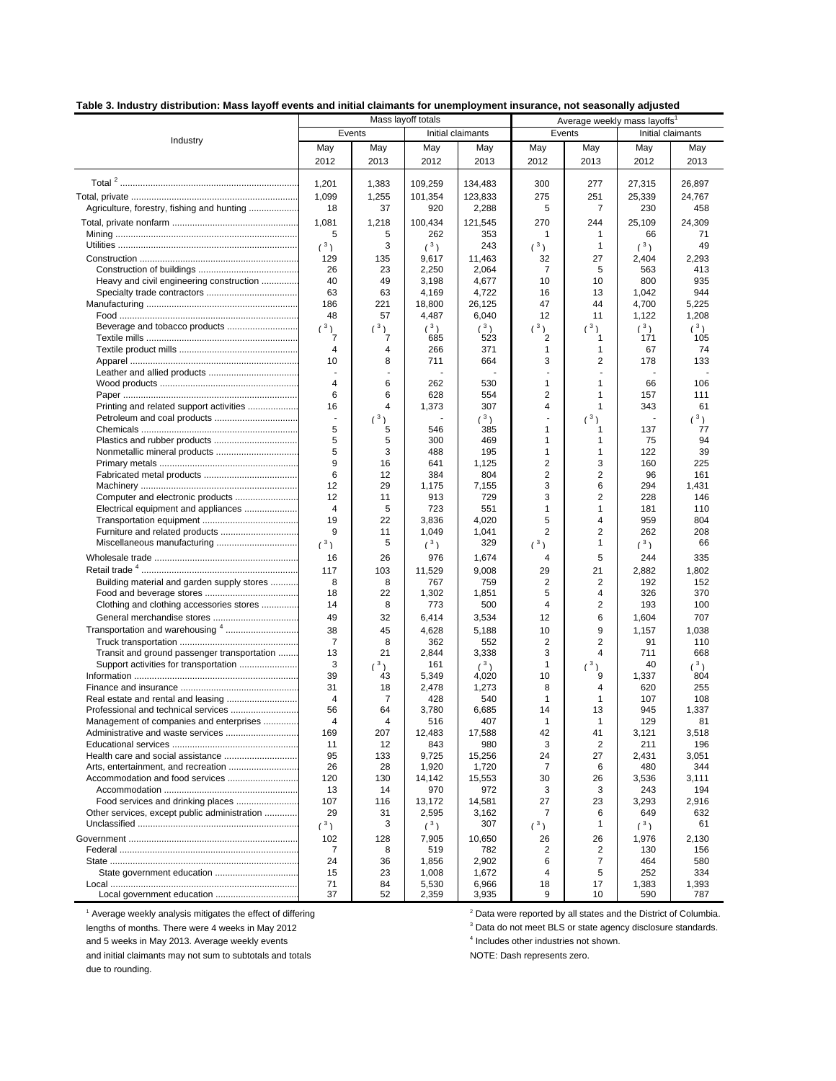|  |  |  | Table 3. Industry distribution: Mass layoff events and initial claimants for unemployment insurance, not seasonally adjusted |
|--|--|--|------------------------------------------------------------------------------------------------------------------------------|
|  |  |  |                                                                                                                              |

|                                              | Mass layoff totals            |         |                   |              | Average weekly mass layoffs |                |                   |             |
|----------------------------------------------|-------------------------------|---------|-------------------|--------------|-----------------------------|----------------|-------------------|-------------|
|                                              | Events                        |         | Initial claimants |              | Events                      |                | Initial claimants |             |
| Industry                                     | May                           | May     | May               | May          | May                         | May            | May               | May         |
|                                              | 2012                          | 2013    | 2012              | 2013         | 2012                        | 2013           | 2012              | 2013        |
|                                              |                               |         |                   |              |                             |                |                   |             |
|                                              | 1,201                         | 1,383   | 109,259           | 134,483      | 300                         | 277            | 27,315            | 26.897      |
|                                              | 1,099                         | 1,255   | 101,354           | 123,833      | 275                         | 251            | 25,339            | 24,767      |
| Agriculture, forestry, fishing and hunting   | 18                            | 37      | 920               | 2,288        | 5                           | $\overline{7}$ | 230               | 458         |
|                                              | 1,081                         | 1,218   | 100,434           | 121,545      | 270                         | 244            | 25,109            | 24,309      |
|                                              | 5                             | 5       | 262               | 353          | $\mathbf{1}$                | 1              | 66                | 71          |
|                                              | $(^3)$                        | 3       | $(^3)$            | 243          | $\binom{3}{ }$              | $\mathbf{1}$   | $(^3)$            | 49          |
|                                              | 129                           | 135     | 9,617             | 11,463       | 32                          | 27             | 2,404             | 2,293       |
|                                              | 26                            | 23      | 2,250             | 2,064        | 7                           | 5              | 563               | 413         |
| Heavy and civil engineering construction     | 40                            | 49      | 3,198             | 4,677        | 10                          | 10             | 800               | 935         |
|                                              | 63                            | 63      | 4,169             | 4,722        | 16                          | 13             | 1,042             | 944         |
|                                              | 186                           | 221     | 18,800            | 26,125       | 47                          | 44             | 4,700             | 5,225       |
|                                              | 48                            | 57      | 4,487             | 6,040        | 12                          | 11             | 1,122             | 1,208       |
|                                              | $(^3)$                        | $(^3)$  | $(^3)$            | $(^3)$       | $(^3)$                      | $\binom{3}{ }$ | $(^3)$            | $(^3)$      |
|                                              | 7                             | 7       | 685               | 523          | 2                           | 1              | 171               | 105         |
|                                              | $\overline{4}$                | 4       | 266               | 371          | 1                           | 1              | 67                | 74          |
|                                              | 10                            | 8       | 711               | 664          | 3                           | $\overline{c}$ | 178               | 133         |
|                                              | ÷,                            | ä,      |                   |              |                             | ä,             |                   |             |
|                                              | 4                             | 6       | 262               | 530          | 1                           | 1              | 66                | 106         |
|                                              | 6                             | 6       | 628               | 554          | $\overline{2}$              | 1              | 157               | 111         |
| Printing and related support activities      | 16                            | 4       | 1,373             | 307          | 4                           | 1              | 343               | 61          |
|                                              | $\overline{\phantom{a}}$<br>5 | (3)     |                   | (3)          | ä,<br>1                     | (3)            |                   | $(^3)$      |
|                                              | 5                             | 5<br>5  | 546<br>300        | 385<br>469   | 1                           | 1<br>1         | 137<br>75         | 77<br>94    |
|                                              | 5                             | 3       | 488               | 195          | 1                           | 1              | 122               | 39          |
|                                              | 9                             | 16      | 641               | 1,125        | 2                           | 3              | 160               | 225         |
|                                              | 6                             | 12      | 384               | 804          | $\overline{2}$              | $\overline{2}$ | 96                | 161         |
|                                              | 12                            | 29      | 1,175             | 7,155        | 3                           | 6              | 294               | 1,431       |
| Computer and electronic products             | 12                            | 11      | 913               | 729          | 3                           | $\overline{2}$ | 228               | 146         |
| Electrical equipment and appliances          | $\overline{4}$                | 5       | 723               | 551          | 1                           | 1              | 181               | 110         |
|                                              | 19                            | 22      | 3,836             | 4,020        | 5                           | 4              | 959               | 804         |
| Furniture and related products               | 9                             | 11      | 1,049             | 1,041        | $\overline{2}$              | $\overline{2}$ | 262               | 208         |
| Miscellaneous manufacturing                  | $(^3)$                        | 5       | $(^3)$            | 329          | $(^3)$                      | 1              | $\binom{3}{ }$    | 66          |
|                                              | 16                            | 26      | 976               | 1,674        | 4                           | 5              | 244               | 335         |
|                                              | 117                           | 103     | 11,529            | 9,008        | 29                          | 21             | 2,882             | 1,802       |
| Building material and garden supply stores   | 8                             | 8       | 767               | 759          | 2                           | 2              | 192               | 152         |
|                                              | 18                            | 22      | 1,302             | 1,851        | 5                           | 4              | 326               | 370         |
| Clothing and clothing accessories stores     | 14                            | 8       | 773               | 500          | 4                           | 2              | 193               | 100         |
|                                              | 49                            | 32      | 6,414             | 3,534        | 12                          | 6              | 1,604             | 707         |
| Transportation and warehousing 4             | 38                            | 45      | 4,628             | 5,188        | 10                          | 9              | 1,157             | 1,038       |
|                                              | $\overline{7}$                | 8       | 362               | 552          | 2                           | 2              | 91                | 110         |
| Transit and ground passenger transportation  | 13                            | 21      | 2,844             | 3,338        | 3                           | 4              | 711               | 668         |
| Support activities for transportation        | 3                             | $(^3)$  | 161               | $(^3)$       | 1                           | $(^3)$         | 40                | $(^3)$      |
|                                              | 39                            | 43      | 5,349             | 4,020        | 10                          | 9              | 1,337             | 804         |
|                                              | 31                            | 18      | 2,478             | 1,273        | 8                           | 4              | 620               | 255         |
|                                              | 4                             | 7       | 428               | 540          | 1                           | $\mathbf{1}$   | 107               | 108         |
| Management of companies and enterprises      | 56<br>4                       | 64<br>4 | 3,780<br>516      | 6,685<br>407 | 14<br>1                     | 13<br>1        | 945<br>129        | 1,337<br>81 |
|                                              | 169                           | 207     | 12,483            | 17,588       | 42                          | 41             | 3,121             | 3,518       |
|                                              | 11                            | 12      | 843               | 980          | 3                           | $\overline{2}$ | 211               | 196         |
|                                              | 95                            | 133     | 9,725             | 15,256       | 24                          | 27             | 2,431             | 3,051       |
|                                              | 26                            | 28      | 1,920             | 1,720        | $\overline{7}$              | 6              | 480               | 344         |
| Accommodation and food services              | 120                           | 130     | 14,142            | 15,553       | 30                          | 26             | 3,536             | 3,111       |
|                                              | 13                            | 14      | 970               | 972          | 3                           | 3              | 243               | 194         |
|                                              | 107                           | 116     | 13,172            | 14,581       | 27                          | 23             | 3,293             | 2,916       |
| Other services, except public administration | 29                            | 31      | 2,595             | 3,162        | 7                           | 6              | 649               | 632         |
|                                              | $(^3)$                        | 3       | $(^3)$            | 307          | $(^3)$                      | 1              | $(^3)$            | 61          |
|                                              | 102                           | 128     | 7,905             | 10,650       | 26                          | 26             | 1,976             | 2,130       |
|                                              | 7                             | 8       | 519               | 782          | 2                           | 2              | 130               | 156         |
|                                              | 24                            | 36      | 1,856             | 2,902        | 6                           | $\overline{7}$ | 464               | 580         |
|                                              | 15                            | 23      | 1,008             | 1,672        | 4                           | 5              | 252               | 334         |
|                                              | 71                            | 84      | 5,530             | 6,966        | 18                          | 17             | 1,383             | 1,393       |
|                                              | 37                            | 52      | 2,359             | 3,935        | 9                           | 10             | 590               | 787         |

 $1$  Average weekly analysis mitigates the effect of differing  $2$ 

lengths of months. There were 4 weeks in May 2012

and 5 weeks in May 2013. Average weekly events and the state of the finduction of the industries not and initial claimants may not sum to subtotals and totals and the state of the MOTE: Dash represents zero. and initial claimants may not sum to subtotals and totals

due to rounding.

 $2$  Data were reported by all states and the District of Columbia.

 $3$  Data do not meet BLS or state agency disclosure standards. <sup>4</sup> Includes other industries not shown.